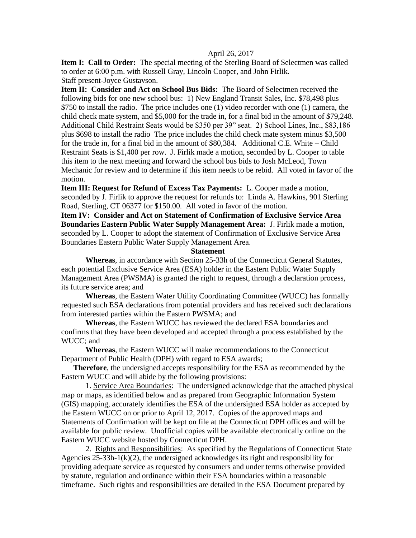## April 26, 2017

**Item I: Call to Order:** The special meeting of the Sterling Board of Selectmen was called to order at 6:00 p.m. with Russell Gray, Lincoln Cooper, and John Firlik. Staff present-Joyce Gustavson.

**Item II: Consider and Act on School Bus Bids:** The Board of Selectmen received the following bids for one new school bus: 1) New England Transit Sales, Inc. \$78,498 plus \$750 to install the radio. The price includes one (1) video recorder with one (1) camera, the child check mate system, and \$5,000 for the trade in, for a final bid in the amount of \$79,248. Additional Child Restraint Seats would be \$350 per 39" seat. 2) School Lines, Inc., \$83,186 plus \$698 to install the radio The price includes the child check mate system minus \$3,500 for the trade in, for a final bid in the amount of \$80,384. Additional C.E. White – Child Restraint Seats is \$1,400 per row. J. Firlik made a motion, seconded by L. Cooper to table this item to the next meeting and forward the school bus bids to Josh McLeod, Town Mechanic for review and to determine if this item needs to be rebid. All voted in favor of the motion.

**Item III: Request for Refund of Excess Tax Payments:** L. Cooper made a motion, seconded by J. Firlik to approve the request for refunds to: Linda A. Hawkins, 901 Sterling Road, Sterling, CT 06377 for \$150.00. All voted in favor of the motion.

**Item IV: Consider and Act on Statement of Confirmation of Exclusive Service Area Boundaries Eastern Public Water Supply Management Area:** J. Firlik made a motion, seconded by L. Cooper to adopt the statement of Confirmation of Exclusive Service Area Boundaries Eastern Public Water Supply Management Area.

## **Statement**

**Whereas**, in accordance with Section 25-33h of the Connecticut General Statutes, each potential Exclusive Service Area (ESA) holder in the Eastern Public Water Supply Management Area (PWSMA) is granted the right to request, through a declaration process, its future service area; and

**Whereas**, the Eastern Water Utility Coordinating Committee (WUCC) has formally requested such ESA declarations from potential providers and has received such declarations from interested parties within the Eastern PWSMA; and

**Whereas**, the Eastern WUCC has reviewed the declared ESA boundaries and confirms that they have been developed and accepted through a process established by the WUCC; and

**Whereas**, the Eastern WUCC will make recommendations to the Connecticut Department of Public Health (DPH) with regard to ESA awards;

**Therefore**, the undersigned accepts responsibility for the ESA as recommended by the Eastern WUCC and will abide by the following provisions:

1. Service Area Boundaries: The undersigned acknowledge that the attached physical map or maps, as identified below and as prepared from Geographic Information System (GIS) mapping, accurately identifies the ESA of the undersigned ESA holder as accepted by the Eastern WUCC on or prior to April 12, 2017. Copies of the approved maps and Statements of Confirmation will be kept on file at the Connecticut DPH offices and will be available for public review. Unofficial copies will be available electronically online on the Eastern WUCC website hosted by Connecticut DPH.

2. Rights and Responsibilities: As specified by the Regulations of Connecticut State Agencies 25-33h-1(k)(2), the undersigned acknowledges its right and responsibility for providing adequate service as requested by consumers and under terms otherwise provided by statute, regulation and ordinance within their ESA boundaries within a reasonable timeframe. Such rights and responsibilities are detailed in the ESA Document prepared by